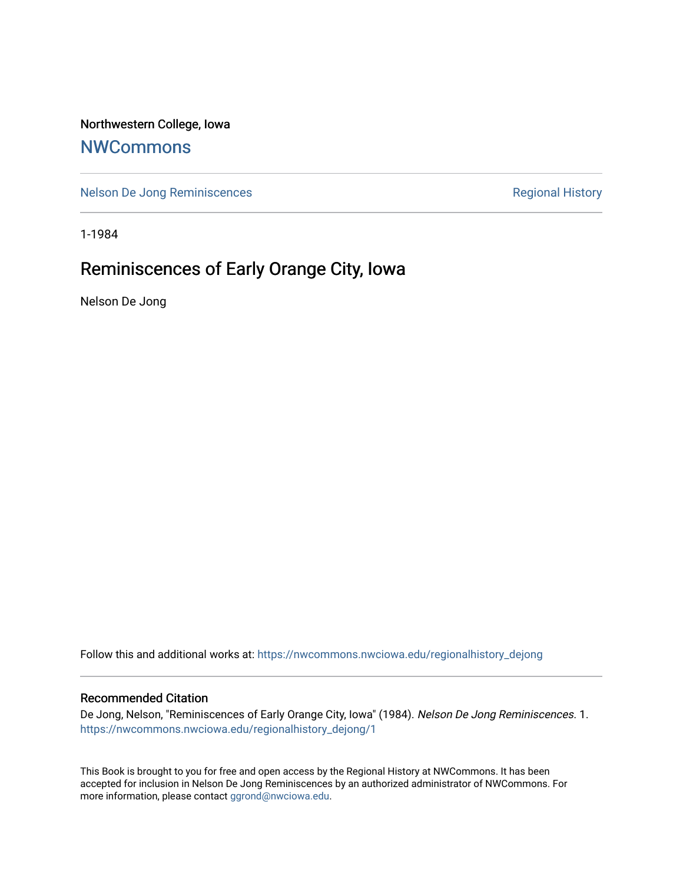Northwestern College, Iowa

## **[NWCommons](https://nwcommons.nwciowa.edu/)**

[Nelson De Jong Reminiscences](https://nwcommons.nwciowa.edu/regionalhistory_dejong) **Regional History** Regional History

1-1984

## Reminiscences of Early Orange City, Iowa

Nelson De Jong

Follow this and additional works at: [https://nwcommons.nwciowa.edu/regionalhistory\\_dejong](https://nwcommons.nwciowa.edu/regionalhistory_dejong?utm_source=nwcommons.nwciowa.edu%2Fregionalhistory_dejong%2F1&utm_medium=PDF&utm_campaign=PDFCoverPages) 

## Recommended Citation

De Jong, Nelson, "Reminiscences of Early Orange City, Iowa" (1984). Nelson De Jong Reminiscences. 1. [https://nwcommons.nwciowa.edu/regionalhistory\\_dejong/1](https://nwcommons.nwciowa.edu/regionalhistory_dejong/1?utm_source=nwcommons.nwciowa.edu%2Fregionalhistory_dejong%2F1&utm_medium=PDF&utm_campaign=PDFCoverPages) 

This Book is brought to you for free and open access by the Regional History at NWCommons. It has been accepted for inclusion in Nelson De Jong Reminiscences by an authorized administrator of NWCommons. For more information, please contact [ggrond@nwciowa.edu](mailto:ggrond@nwciowa.edu).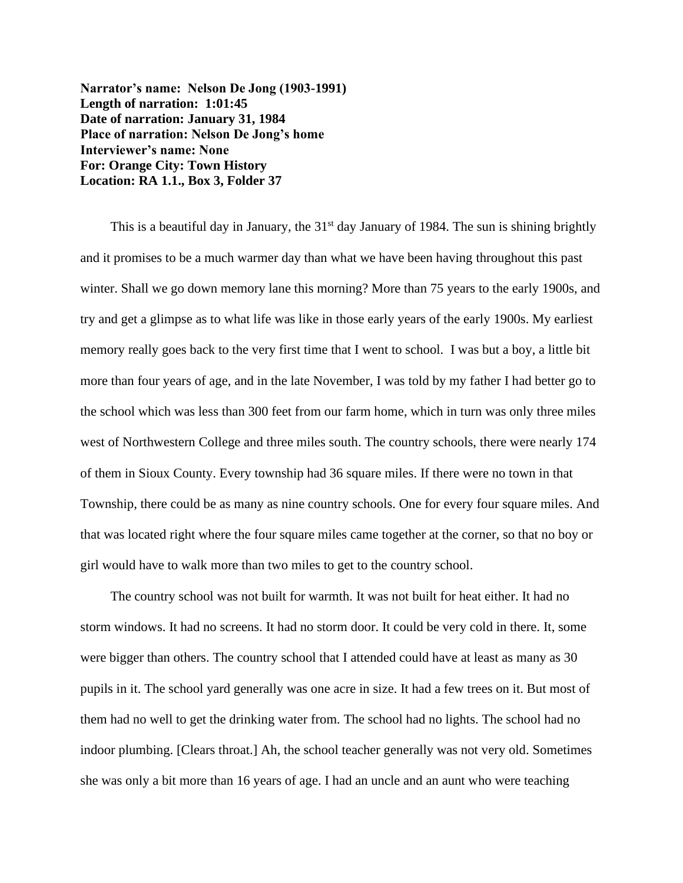**Narrator's name: Nelson De Jong (1903-1991) Length of narration: 1:01:45 Date of narration: January 31, 1984 Place of narration: Nelson De Jong's home Interviewer's name: None For: Orange City: Town History Location: RA 1.1., Box 3, Folder 37**

This is a beautiful day in January, the  $31<sup>st</sup>$  day January of 1984. The sun is shining brightly and it promises to be a much warmer day than what we have been having throughout this past winter. Shall we go down memory lane this morning? More than 75 years to the early 1900s, and try and get a glimpse as to what life was like in those early years of the early 1900s. My earliest memory really goes back to the very first time that I went to school. I was but a boy, a little bit more than four years of age, and in the late November, I was told by my father I had better go to the school which was less than 300 feet from our farm home, which in turn was only three miles west of Northwestern College and three miles south. The country schools, there were nearly 174 of them in Sioux County. Every township had 36 square miles. If there were no town in that Township, there could be as many as nine country schools. One for every four square miles. And that was located right where the four square miles came together at the corner, so that no boy or girl would have to walk more than two miles to get to the country school.

The country school was not built for warmth. It was not built for heat either. It had no storm windows. It had no screens. It had no storm door. It could be very cold in there. It, some were bigger than others. The country school that I attended could have at least as many as 30 pupils in it. The school yard generally was one acre in size. It had a few trees on it. But most of them had no well to get the drinking water from. The school had no lights. The school had no indoor plumbing. [Clears throat.] Ah, the school teacher generally was not very old. Sometimes she was only a bit more than 16 years of age. I had an uncle and an aunt who were teaching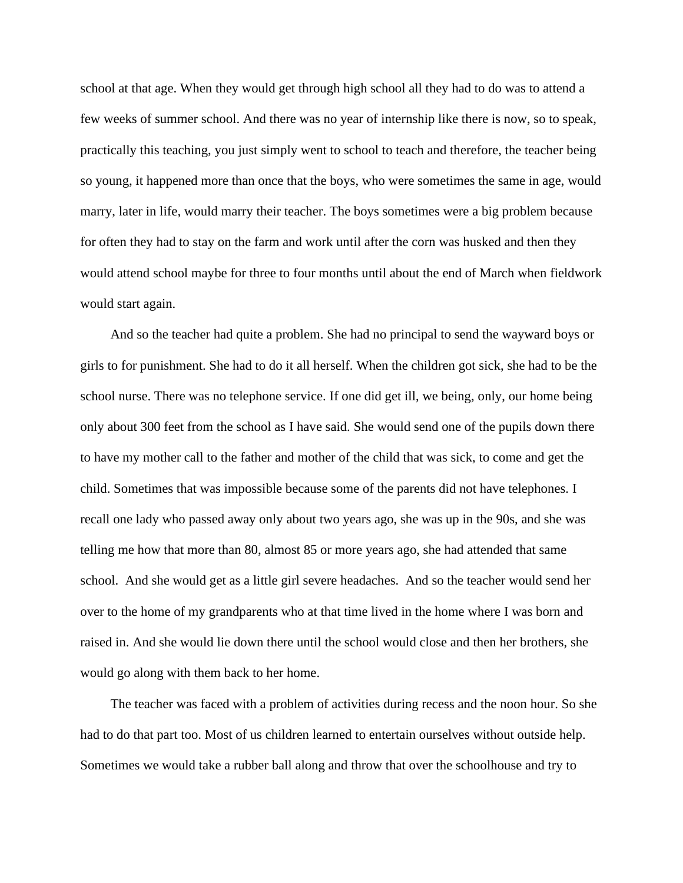school at that age. When they would get through high school all they had to do was to attend a few weeks of summer school. And there was no year of internship like there is now, so to speak, practically this teaching, you just simply went to school to teach and therefore, the teacher being so young, it happened more than once that the boys, who were sometimes the same in age, would marry, later in life, would marry their teacher. The boys sometimes were a big problem because for often they had to stay on the farm and work until after the corn was husked and then they would attend school maybe for three to four months until about the end of March when fieldwork would start again.

And so the teacher had quite a problem. She had no principal to send the wayward boys or girls to for punishment. She had to do it all herself. When the children got sick, she had to be the school nurse. There was no telephone service. If one did get ill, we being, only, our home being only about 300 feet from the school as I have said. She would send one of the pupils down there to have my mother call to the father and mother of the child that was sick, to come and get the child. Sometimes that was impossible because some of the parents did not have telephones. I recall one lady who passed away only about two years ago, she was up in the 90s, and she was telling me how that more than 80, almost 85 or more years ago, she had attended that same school. And she would get as a little girl severe headaches. And so the teacher would send her over to the home of my grandparents who at that time lived in the home where I was born and raised in. And she would lie down there until the school would close and then her brothers, she would go along with them back to her home.

The teacher was faced with a problem of activities during recess and the noon hour. So she had to do that part too. Most of us children learned to entertain ourselves without outside help. Sometimes we would take a rubber ball along and throw that over the schoolhouse and try to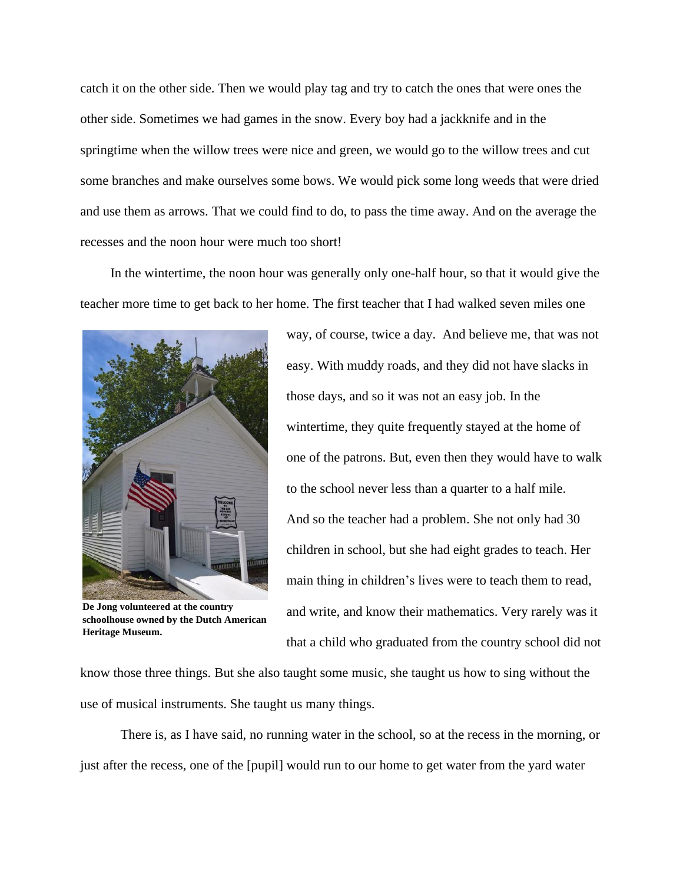catch it on the other side. Then we would play tag and try to catch the ones that were ones the other side. Sometimes we had games in the snow. Every boy had a jackknife and in the springtime when the willow trees were nice and green, we would go to the willow trees and cut some branches and make ourselves some bows. We would pick some long weeds that were dried and use them as arrows. That we could find to do, to pass the time away. And on the average the recesses and the noon hour were much too short!

In the wintertime, the noon hour was generally only one-half hour, so that it would give the teacher more time to get back to her home. The first teacher that I had walked seven miles one



**De Jong volunteered at the country schoolhouse owned by the Dutch American Heritage Museum.**

way, of course, twice a day. And believe me, that was not easy. With muddy roads, and they did not have slacks in those days, and so it was not an easy job. In the wintertime, they quite frequently stayed at the home of one of the patrons. But, even then they would have to walk to the school never less than a quarter to a half mile. And so the teacher had a problem. She not only had 30 children in school, but she had eight grades to teach. Her main thing in children's lives were to teach them to read, and write, and know their mathematics. Very rarely was it that a child who graduated from the country school did not

know those three things. But she also taught some music, she taught us how to sing without the use of musical instruments. She taught us many things.

There is, as I have said, no running water in the school, so at the recess in the morning, or just after the recess, one of the [pupil] would run to our home to get water from the yard water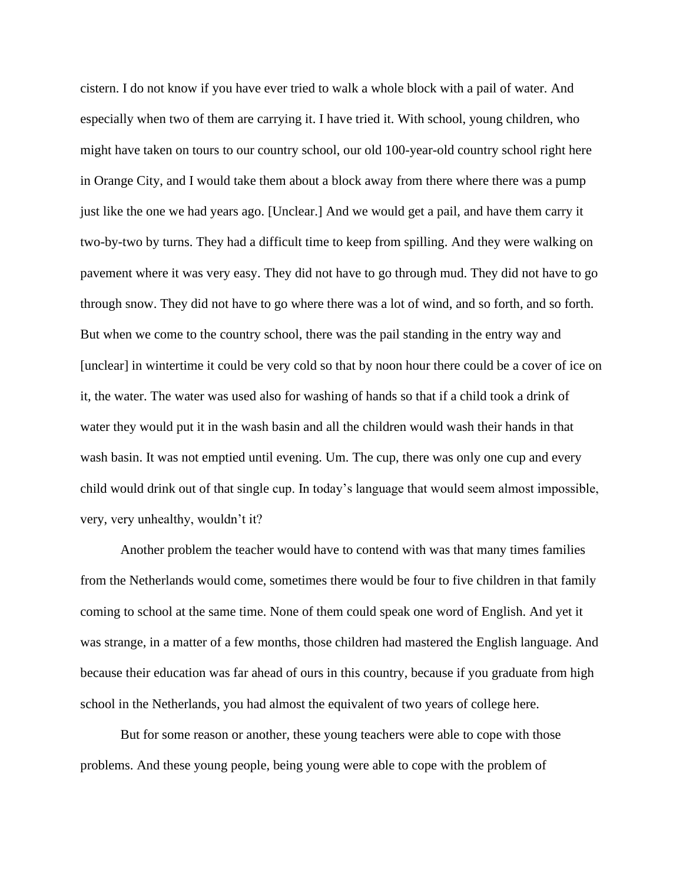cistern. I do not know if you have ever tried to walk a whole block with a pail of water. And especially when two of them are carrying it. I have tried it. With school, young children, who might have taken on tours to our country school, our old 100-year-old country school right here in Orange City, and I would take them about a block away from there where there was a pump just like the one we had years ago. [Unclear.] And we would get a pail, and have them carry it two-by-two by turns. They had a difficult time to keep from spilling. And they were walking on pavement where it was very easy. They did not have to go through mud. They did not have to go through snow. They did not have to go where there was a lot of wind, and so forth, and so forth. But when we come to the country school, there was the pail standing in the entry way and [unclear] in wintertime it could be very cold so that by noon hour there could be a cover of ice on it, the water. The water was used also for washing of hands so that if a child took a drink of water they would put it in the wash basin and all the children would wash their hands in that wash basin. It was not emptied until evening. Um. The cup, there was only one cup and every child would drink out of that single cup. In today's language that would seem almost impossible, very, very unhealthy, wouldn't it?

Another problem the teacher would have to contend with was that many times families from the Netherlands would come, sometimes there would be four to five children in that family coming to school at the same time. None of them could speak one word of English. And yet it was strange, in a matter of a few months, those children had mastered the English language. And because their education was far ahead of ours in this country, because if you graduate from high school in the Netherlands, you had almost the equivalent of two years of college here.

But for some reason or another, these young teachers were able to cope with those problems. And these young people, being young were able to cope with the problem of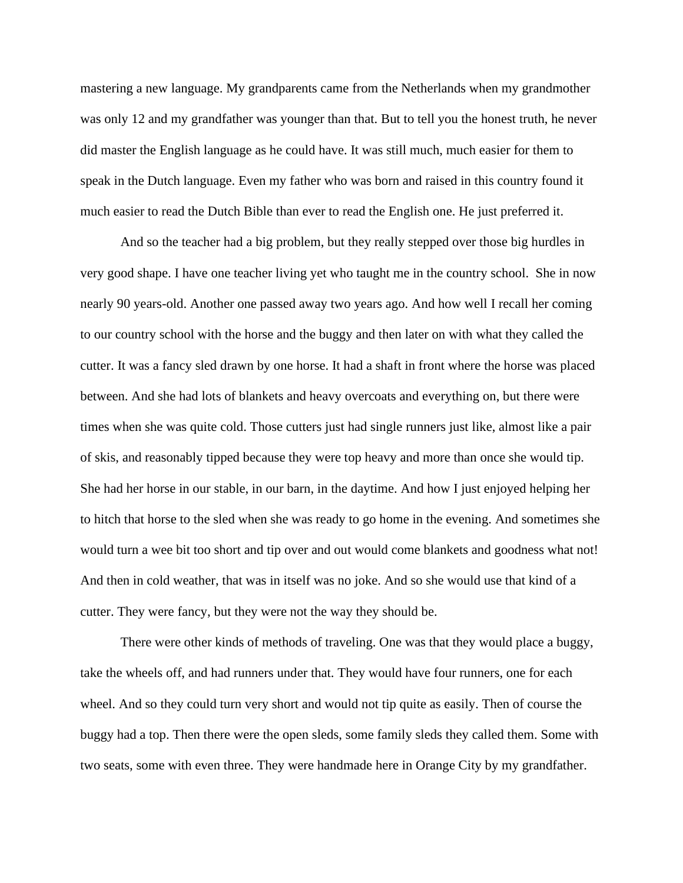mastering a new language. My grandparents came from the Netherlands when my grandmother was only 12 and my grandfather was younger than that. But to tell you the honest truth, he never did master the English language as he could have. It was still much, much easier for them to speak in the Dutch language. Even my father who was born and raised in this country found it much easier to read the Dutch Bible than ever to read the English one. He just preferred it.

And so the teacher had a big problem, but they really stepped over those big hurdles in very good shape. I have one teacher living yet who taught me in the country school. She in now nearly 90 years-old. Another one passed away two years ago. And how well I recall her coming to our country school with the horse and the buggy and then later on with what they called the cutter. It was a fancy sled drawn by one horse. It had a shaft in front where the horse was placed between. And she had lots of blankets and heavy overcoats and everything on, but there were times when she was quite cold. Those cutters just had single runners just like, almost like a pair of skis, and reasonably tipped because they were top heavy and more than once she would tip. She had her horse in our stable, in our barn, in the daytime. And how I just enjoyed helping her to hitch that horse to the sled when she was ready to go home in the evening. And sometimes she would turn a wee bit too short and tip over and out would come blankets and goodness what not! And then in cold weather, that was in itself was no joke. And so she would use that kind of a cutter. They were fancy, but they were not the way they should be.

There were other kinds of methods of traveling. One was that they would place a buggy, take the wheels off, and had runners under that. They would have four runners, one for each wheel. And so they could turn very short and would not tip quite as easily. Then of course the buggy had a top. Then there were the open sleds, some family sleds they called them. Some with two seats, some with even three. They were handmade here in Orange City by my grandfather.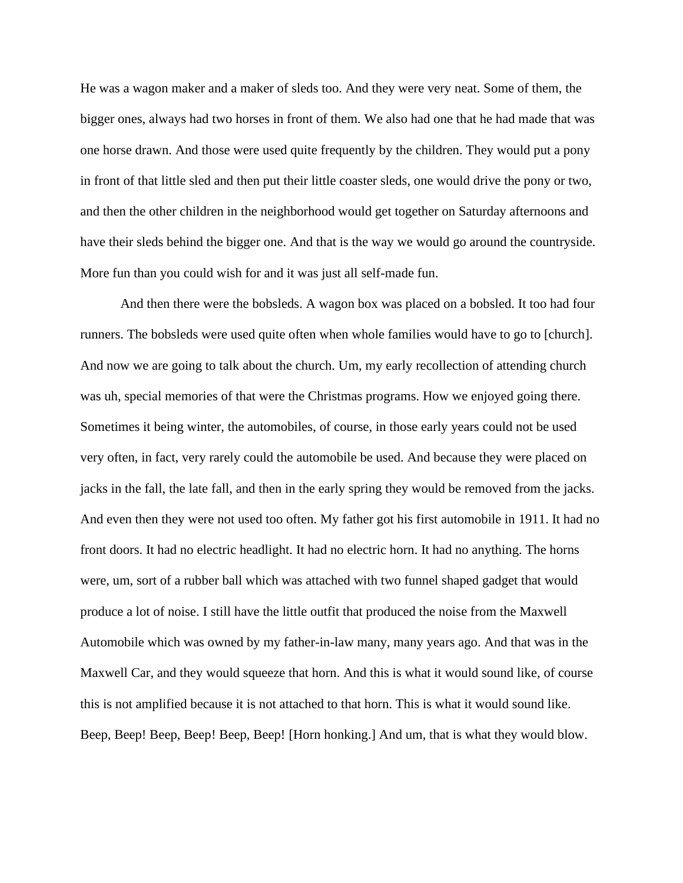He was a wagon maker and a maker of sleds too. And they were very neat. Some of them, the bigger ones, always had two horses in front of them. We also had one that he had made that was one horse drawn. And those were used quite frequently by the children. They would put a pony in front of that little sled and then put their little coaster sleds, one would drive the pony or two, and then the other children in the neighborhood would get together on Saturday afternoons and have their sleds behind the bigger one. And that is the way we would go around the countryside. More fun than you could wish for and it was just all self-made fun.

And then there were the bobsleds. A wagon box was placed on a bobsled. It too had four runners. The bobsleds were used quite often when whole families would have to go to [church]. And now we are going to talk about the church. Um, my early recollection of attending church was uh, special memories of that were the Christmas programs. How we enjoyed going there. Sometimes it being winter, the automobiles, of course, in those early years could not be used very often, in fact, very rarely could the automobile be used. And because they were placed on jacks in the fall, the late fall, and then in the early spring they would be removed from the jacks. And even then they were not used too often. My father got his first automobile in 1911. It had no front doors. It had no electric headlight. It had no electric horn. It had no anything. The horns were, um, sort of a rubber ball which was attached with two funnel shaped gadget that would produce a lot of noise. I still have the little outfit that produced the noise from the Maxwell Automobile which was owned by my father-in-law many, many years ago. And that was in the Maxwell Car, and they would squeeze that horn. And this is what it would sound like, of course this is not amplified because it is not attached to that horn. This is what it would sound like. Beep, Beep! Beep, Beep! Beep, Beep! [Horn honking.] And um, that is what they would blow.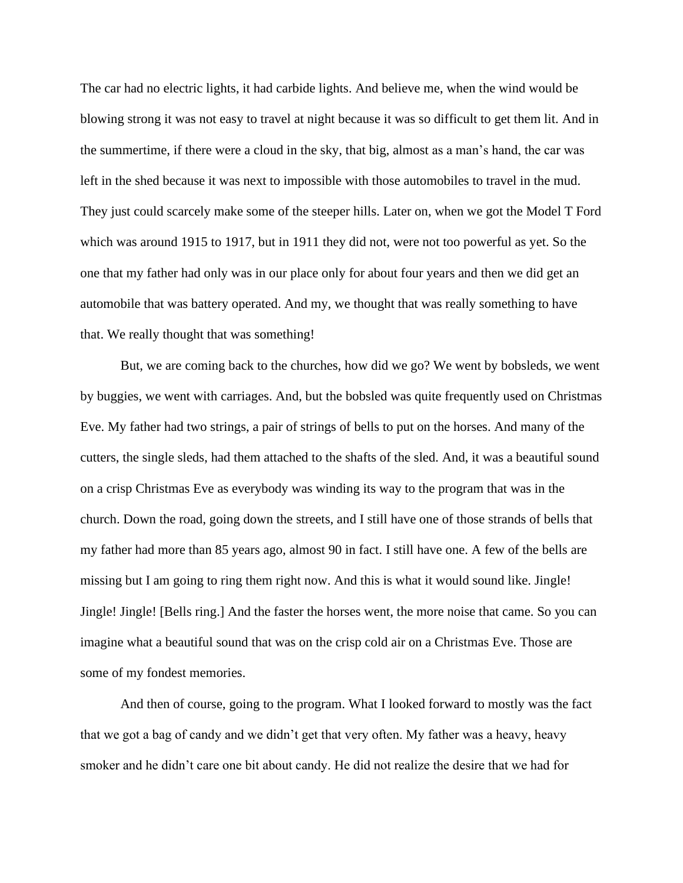The car had no electric lights, it had carbide lights. And believe me, when the wind would be blowing strong it was not easy to travel at night because it was so difficult to get them lit. And in the summertime, if there were a cloud in the sky, that big, almost as a man's hand, the car was left in the shed because it was next to impossible with those automobiles to travel in the mud. They just could scarcely make some of the steeper hills. Later on, when we got the Model T Ford which was around 1915 to 1917, but in 1911 they did not, were not too powerful as yet. So the one that my father had only was in our place only for about four years and then we did get an automobile that was battery operated. And my, we thought that was really something to have that. We really thought that was something!

But, we are coming back to the churches, how did we go? We went by bobsleds, we went by buggies, we went with carriages. And, but the bobsled was quite frequently used on Christmas Eve. My father had two strings, a pair of strings of bells to put on the horses. And many of the cutters, the single sleds, had them attached to the shafts of the sled. And, it was a beautiful sound on a crisp Christmas Eve as everybody was winding its way to the program that was in the church. Down the road, going down the streets, and I still have one of those strands of bells that my father had more than 85 years ago, almost 90 in fact. I still have one. A few of the bells are missing but I am going to ring them right now. And this is what it would sound like. Jingle! Jingle! Jingle! [Bells ring.] And the faster the horses went, the more noise that came. So you can imagine what a beautiful sound that was on the crisp cold air on a Christmas Eve. Those are some of my fondest memories.

And then of course, going to the program. What I looked forward to mostly was the fact that we got a bag of candy and we didn't get that very often. My father was a heavy, heavy smoker and he didn't care one bit about candy. He did not realize the desire that we had for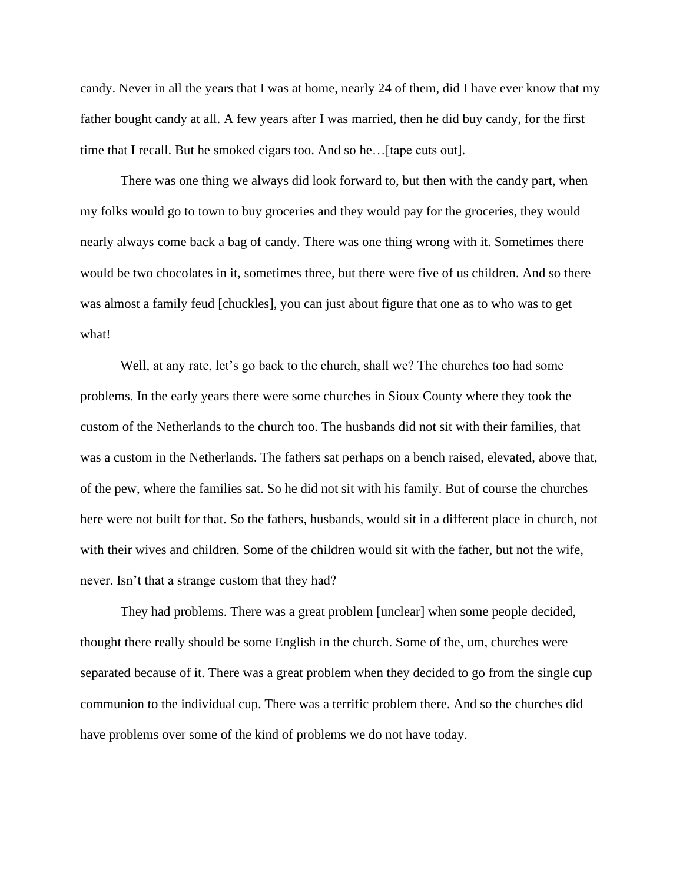candy. Never in all the years that I was at home, nearly 24 of them, did I have ever know that my father bought candy at all. A few years after I was married, then he did buy candy, for the first time that I recall. But he smoked cigars too. And so he…[tape cuts out].

There was one thing we always did look forward to, but then with the candy part, when my folks would go to town to buy groceries and they would pay for the groceries, they would nearly always come back a bag of candy. There was one thing wrong with it. Sometimes there would be two chocolates in it, sometimes three, but there were five of us children. And so there was almost a family feud [chuckles], you can just about figure that one as to who was to get what!

Well, at any rate, let's go back to the church, shall we? The churches too had some problems. In the early years there were some churches in Sioux County where they took the custom of the Netherlands to the church too. The husbands did not sit with their families, that was a custom in the Netherlands. The fathers sat perhaps on a bench raised, elevated, above that, of the pew, where the families sat. So he did not sit with his family. But of course the churches here were not built for that. So the fathers, husbands, would sit in a different place in church, not with their wives and children. Some of the children would sit with the father, but not the wife, never. Isn't that a strange custom that they had?

They had problems. There was a great problem [unclear] when some people decided, thought there really should be some English in the church. Some of the, um, churches were separated because of it. There was a great problem when they decided to go from the single cup communion to the individual cup. There was a terrific problem there. And so the churches did have problems over some of the kind of problems we do not have today.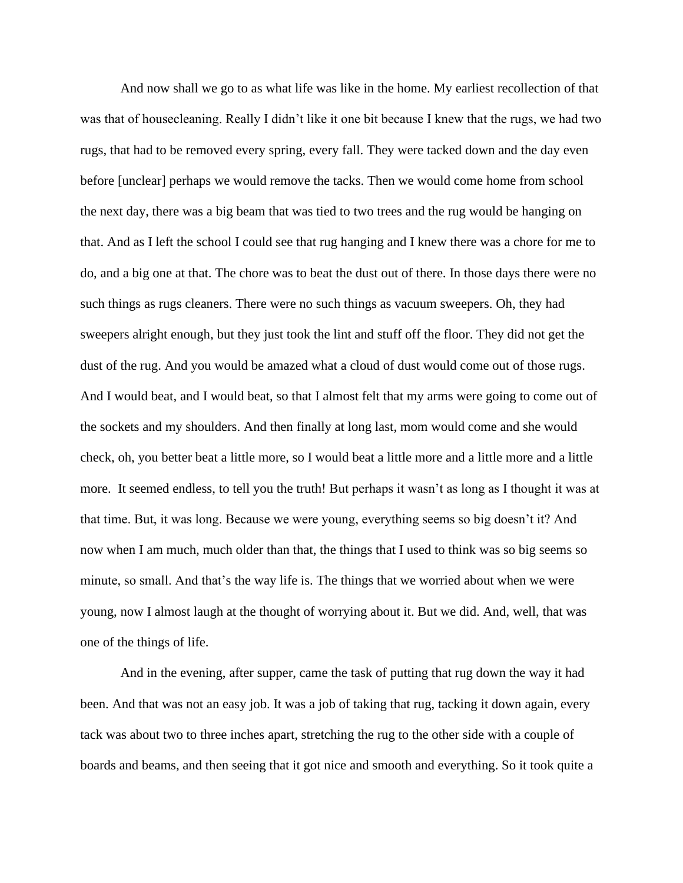And now shall we go to as what life was like in the home. My earliest recollection of that was that of housecleaning. Really I didn't like it one bit because I knew that the rugs, we had two rugs, that had to be removed every spring, every fall. They were tacked down and the day even before [unclear] perhaps we would remove the tacks. Then we would come home from school the next day, there was a big beam that was tied to two trees and the rug would be hanging on that. And as I left the school I could see that rug hanging and I knew there was a chore for me to do, and a big one at that. The chore was to beat the dust out of there. In those days there were no such things as rugs cleaners. There were no such things as vacuum sweepers. Oh, they had sweepers alright enough, but they just took the lint and stuff off the floor. They did not get the dust of the rug. And you would be amazed what a cloud of dust would come out of those rugs. And I would beat, and I would beat, so that I almost felt that my arms were going to come out of the sockets and my shoulders. And then finally at long last, mom would come and she would check, oh, you better beat a little more, so I would beat a little more and a little more and a little more. It seemed endless, to tell you the truth! But perhaps it wasn't as long as I thought it was at that time. But, it was long. Because we were young, everything seems so big doesn't it? And now when I am much, much older than that, the things that I used to think was so big seems so minute, so small. And that's the way life is. The things that we worried about when we were young, now I almost laugh at the thought of worrying about it. But we did. And, well, that was one of the things of life.

And in the evening, after supper, came the task of putting that rug down the way it had been. And that was not an easy job. It was a job of taking that rug, tacking it down again, every tack was about two to three inches apart, stretching the rug to the other side with a couple of boards and beams, and then seeing that it got nice and smooth and everything. So it took quite a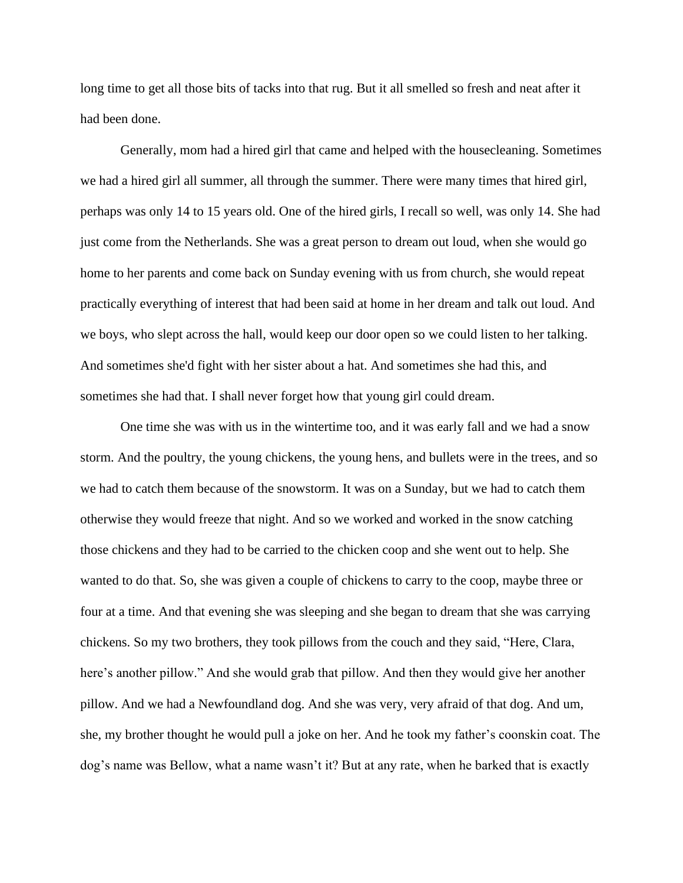long time to get all those bits of tacks into that rug. But it all smelled so fresh and neat after it had been done.

Generally, mom had a hired girl that came and helped with the housecleaning. Sometimes we had a hired girl all summer, all through the summer. There were many times that hired girl, perhaps was only 14 to 15 years old. One of the hired girls, I recall so well, was only 14. She had just come from the Netherlands. She was a great person to dream out loud, when she would go home to her parents and come back on Sunday evening with us from church, she would repeat practically everything of interest that had been said at home in her dream and talk out loud. And we boys, who slept across the hall, would keep our door open so we could listen to her talking. And sometimes she'd fight with her sister about a hat. And sometimes she had this, and sometimes she had that. I shall never forget how that young girl could dream.

One time she was with us in the wintertime too, and it was early fall and we had a snow storm. And the poultry, the young chickens, the young hens, and bullets were in the trees, and so we had to catch them because of the snowstorm. It was on a Sunday, but we had to catch them otherwise they would freeze that night. And so we worked and worked in the snow catching those chickens and they had to be carried to the chicken coop and she went out to help. She wanted to do that. So, she was given a couple of chickens to carry to the coop, maybe three or four at a time. And that evening she was sleeping and she began to dream that she was carrying chickens. So my two brothers, they took pillows from the couch and they said, "Here, Clara, here's another pillow." And she would grab that pillow. And then they would give her another pillow. And we had a Newfoundland dog. And she was very, very afraid of that dog. And um, she, my brother thought he would pull a joke on her. And he took my father's coonskin coat. The dog's name was Bellow, what a name wasn't it? But at any rate, when he barked that is exactly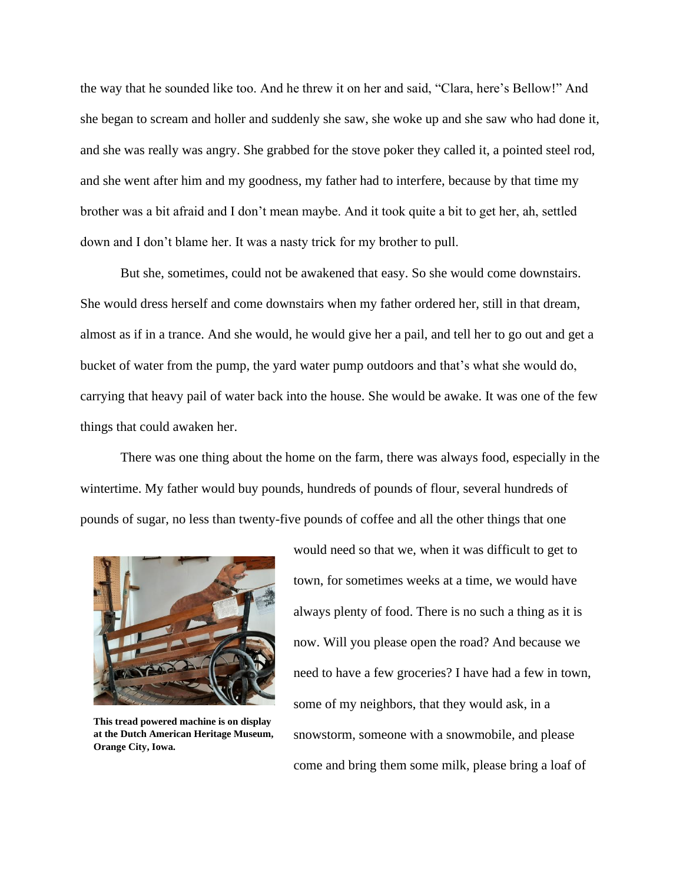the way that he sounded like too. And he threw it on her and said, "Clara, here's Bellow!" And she began to scream and holler and suddenly she saw, she woke up and she saw who had done it, and she was really was angry. She grabbed for the stove poker they called it, a pointed steel rod, and she went after him and my goodness, my father had to interfere, because by that time my brother was a bit afraid and I don't mean maybe. And it took quite a bit to get her, ah, settled down and I don't blame her. It was a nasty trick for my brother to pull.

But she, sometimes, could not be awakened that easy. So she would come downstairs. She would dress herself and come downstairs when my father ordered her, still in that dream, almost as if in a trance. And she would, he would give her a pail, and tell her to go out and get a bucket of water from the pump, the yard water pump outdoors and that's what she would do, carrying that heavy pail of water back into the house. She would be awake. It was one of the few things that could awaken her.

There was one thing about the home on the farm, there was always food, especially in the wintertime. My father would buy pounds, hundreds of pounds of flour, several hundreds of pounds of sugar, no less than twenty-five pounds of coffee and all the other things that one



**This tread powered machine is on display at the Dutch American Heritage Museum, Orange City, Iowa.**

would need so that we, when it was difficult to get to town, for sometimes weeks at a time, we would have always plenty of food. There is no such a thing as it is now. Will you please open the road? And because we need to have a few groceries? I have had a few in town, some of my neighbors, that they would ask, in a snowstorm, someone with a snowmobile, and please come and bring them some milk, please bring a loaf of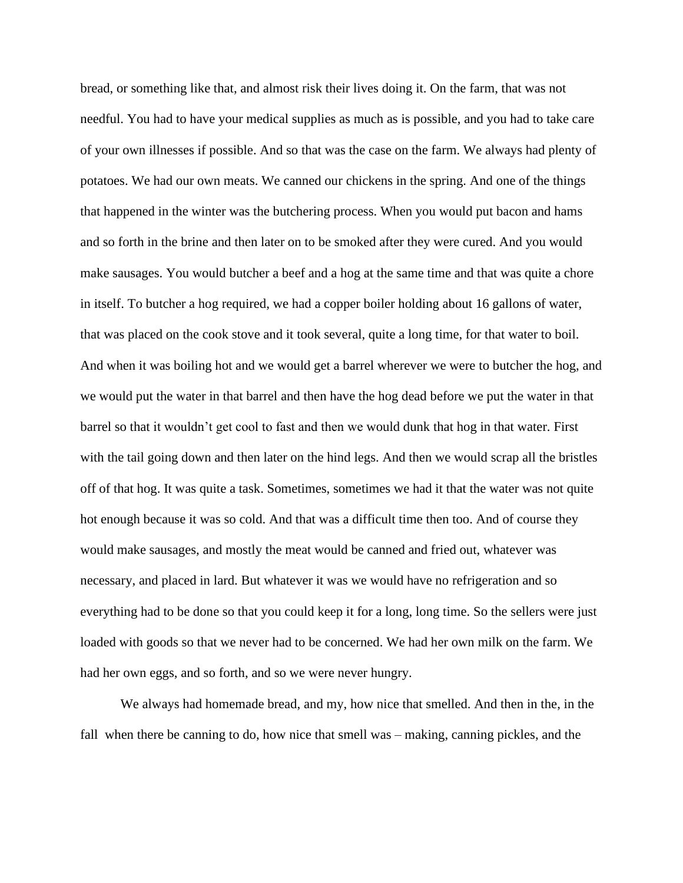bread, or something like that, and almost risk their lives doing it. On the farm, that was not needful. You had to have your medical supplies as much as is possible, and you had to take care of your own illnesses if possible. And so that was the case on the farm. We always had plenty of potatoes. We had our own meats. We canned our chickens in the spring. And one of the things that happened in the winter was the butchering process. When you would put bacon and hams and so forth in the brine and then later on to be smoked after they were cured. And you would make sausages. You would butcher a beef and a hog at the same time and that was quite a chore in itself. To butcher a hog required, we had a copper boiler holding about 16 gallons of water, that was placed on the cook stove and it took several, quite a long time, for that water to boil. And when it was boiling hot and we would get a barrel wherever we were to butcher the hog, and we would put the water in that barrel and then have the hog dead before we put the water in that barrel so that it wouldn't get cool to fast and then we would dunk that hog in that water. First with the tail going down and then later on the hind legs. And then we would scrap all the bristles off of that hog. It was quite a task. Sometimes, sometimes we had it that the water was not quite hot enough because it was so cold. And that was a difficult time then too. And of course they would make sausages, and mostly the meat would be canned and fried out, whatever was necessary, and placed in lard. But whatever it was we would have no refrigeration and so everything had to be done so that you could keep it for a long, long time. So the sellers were just loaded with goods so that we never had to be concerned. We had her own milk on the farm. We had her own eggs, and so forth, and so we were never hungry.

We always had homemade bread, and my, how nice that smelled. And then in the, in the fall when there be canning to do, how nice that smell was – making, canning pickles, and the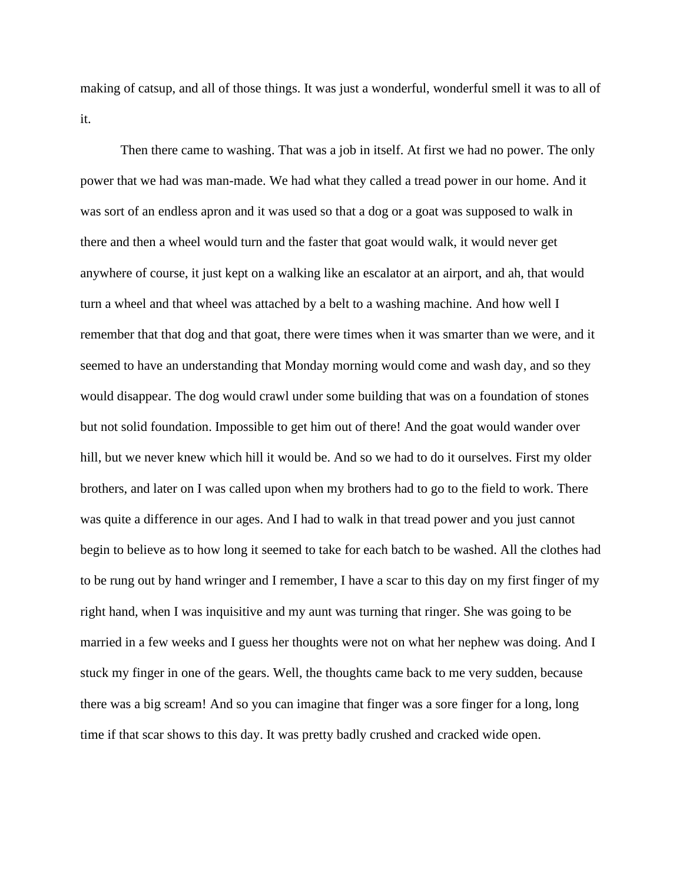making of catsup, and all of those things. It was just a wonderful, wonderful smell it was to all of it.

Then there came to washing. That was a job in itself. At first we had no power. The only power that we had was man-made. We had what they called a tread power in our home. And it was sort of an endless apron and it was used so that a dog or a goat was supposed to walk in there and then a wheel would turn and the faster that goat would walk, it would never get anywhere of course, it just kept on a walking like an escalator at an airport, and ah, that would turn a wheel and that wheel was attached by a belt to a washing machine. And how well I remember that that dog and that goat, there were times when it was smarter than we were, and it seemed to have an understanding that Monday morning would come and wash day, and so they would disappear. The dog would crawl under some building that was on a foundation of stones but not solid foundation. Impossible to get him out of there! And the goat would wander over hill, but we never knew which hill it would be. And so we had to do it ourselves. First my older brothers, and later on I was called upon when my brothers had to go to the field to work. There was quite a difference in our ages. And I had to walk in that tread power and you just cannot begin to believe as to how long it seemed to take for each batch to be washed. All the clothes had to be rung out by hand wringer and I remember, I have a scar to this day on my first finger of my right hand, when I was inquisitive and my aunt was turning that ringer. She was going to be married in a few weeks and I guess her thoughts were not on what her nephew was doing. And I stuck my finger in one of the gears. Well, the thoughts came back to me very sudden, because there was a big scream! And so you can imagine that finger was a sore finger for a long, long time if that scar shows to this day. It was pretty badly crushed and cracked wide open.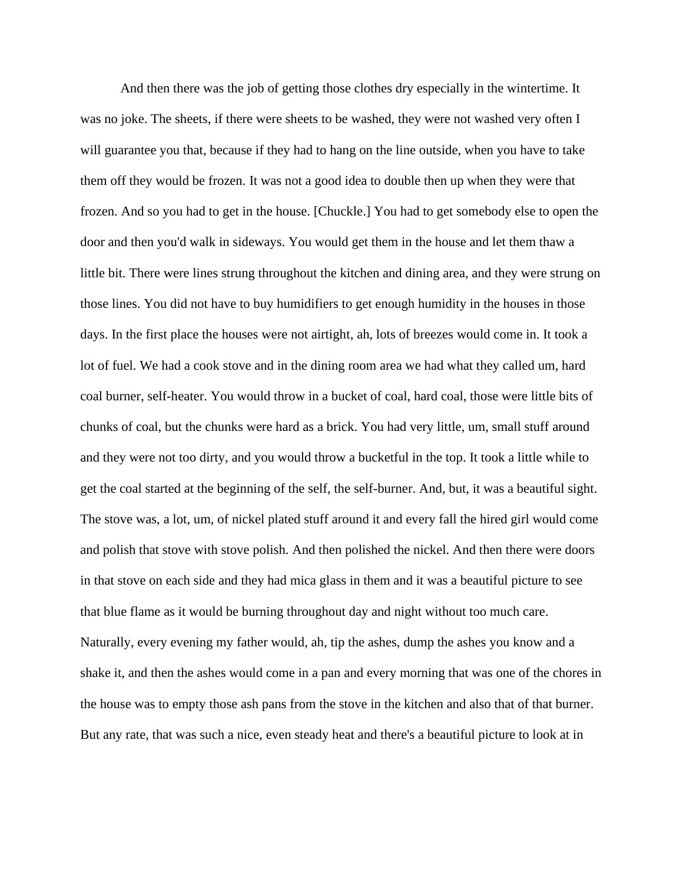And then there was the job of getting those clothes dry especially in the wintertime. It was no joke. The sheets, if there were sheets to be washed, they were not washed very often I will guarantee you that, because if they had to hang on the line outside, when you have to take them off they would be frozen. It was not a good idea to double then up when they were that frozen. And so you had to get in the house. [Chuckle.] You had to get somebody else to open the door and then you'd walk in sideways. You would get them in the house and let them thaw a little bit. There were lines strung throughout the kitchen and dining area, and they were strung on those lines. You did not have to buy humidifiers to get enough humidity in the houses in those days. In the first place the houses were not airtight, ah, lots of breezes would come in. It took a lot of fuel. We had a cook stove and in the dining room area we had what they called um, hard coal burner, self-heater. You would throw in a bucket of coal, hard coal, those were little bits of chunks of coal, but the chunks were hard as a brick. You had very little, um, small stuff around and they were not too dirty, and you would throw a bucketful in the top. It took a little while to get the coal started at the beginning of the self, the self-burner. And, but, it was a beautiful sight. The stove was, a lot, um, of nickel plated stuff around it and every fall the hired girl would come and polish that stove with stove polish. And then polished the nickel. And then there were doors in that stove on each side and they had mica glass in them and it was a beautiful picture to see that blue flame as it would be burning throughout day and night without too much care. Naturally, every evening my father would, ah, tip the ashes, dump the ashes you know and a shake it, and then the ashes would come in a pan and every morning that was one of the chores in the house was to empty those ash pans from the stove in the kitchen and also that of that burner. But any rate, that was such a nice, even steady heat and there's a beautiful picture to look at in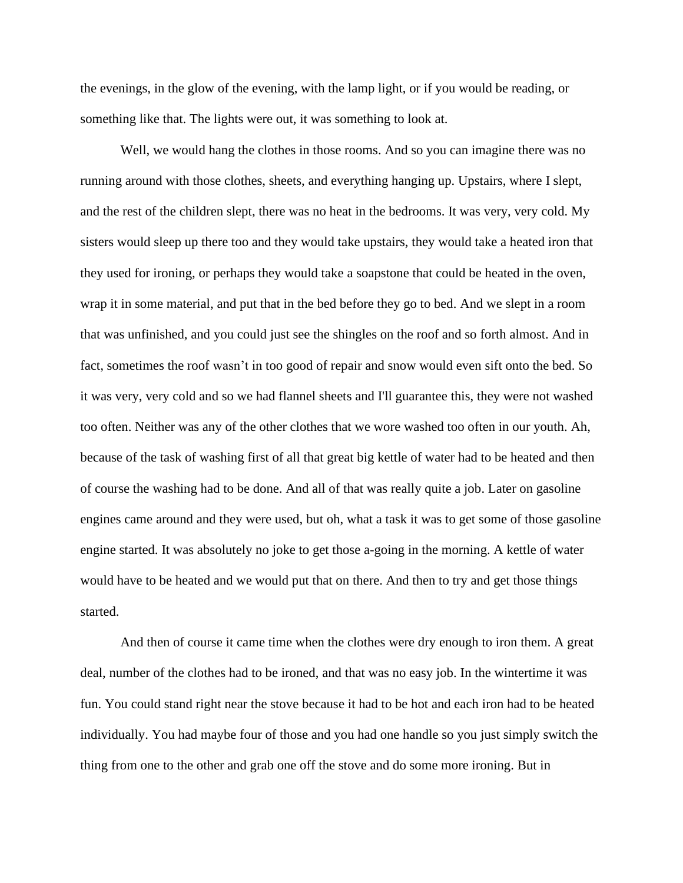the evenings, in the glow of the evening, with the lamp light, or if you would be reading, or something like that. The lights were out, it was something to look at.

Well, we would hang the clothes in those rooms. And so you can imagine there was no running around with those clothes, sheets, and everything hanging up. Upstairs, where I slept, and the rest of the children slept, there was no heat in the bedrooms. It was very, very cold. My sisters would sleep up there too and they would take upstairs, they would take a heated iron that they used for ironing, or perhaps they would take a soapstone that could be heated in the oven, wrap it in some material, and put that in the bed before they go to bed. And we slept in a room that was unfinished, and you could just see the shingles on the roof and so forth almost. And in fact, sometimes the roof wasn't in too good of repair and snow would even sift onto the bed. So it was very, very cold and so we had flannel sheets and I'll guarantee this, they were not washed too often. Neither was any of the other clothes that we wore washed too often in our youth. Ah, because of the task of washing first of all that great big kettle of water had to be heated and then of course the washing had to be done. And all of that was really quite a job. Later on gasoline engines came around and they were used, but oh, what a task it was to get some of those gasoline engine started. It was absolutely no joke to get those a-going in the morning. A kettle of water would have to be heated and we would put that on there. And then to try and get those things started.

And then of course it came time when the clothes were dry enough to iron them. A great deal, number of the clothes had to be ironed, and that was no easy job. In the wintertime it was fun. You could stand right near the stove because it had to be hot and each iron had to be heated individually. You had maybe four of those and you had one handle so you just simply switch the thing from one to the other and grab one off the stove and do some more ironing. But in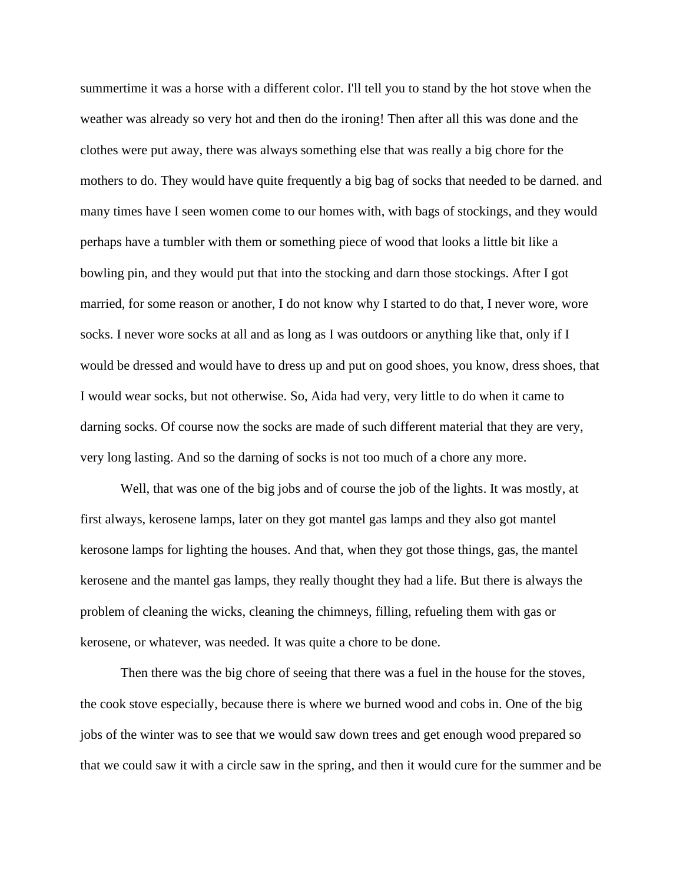summertime it was a horse with a different color. I'll tell you to stand by the hot stove when the weather was already so very hot and then do the ironing! Then after all this was done and the clothes were put away, there was always something else that was really a big chore for the mothers to do. They would have quite frequently a big bag of socks that needed to be darned. and many times have I seen women come to our homes with, with bags of stockings, and they would perhaps have a tumbler with them or something piece of wood that looks a little bit like a bowling pin, and they would put that into the stocking and darn those stockings. After I got married, for some reason or another, I do not know why I started to do that, I never wore, wore socks. I never wore socks at all and as long as I was outdoors or anything like that, only if I would be dressed and would have to dress up and put on good shoes, you know, dress shoes, that I would wear socks, but not otherwise. So, Aida had very, very little to do when it came to darning socks. Of course now the socks are made of such different material that they are very, very long lasting. And so the darning of socks is not too much of a chore any more.

Well, that was one of the big jobs and of course the job of the lights. It was mostly, at first always, kerosene lamps, later on they got mantel gas lamps and they also got mantel kerosone lamps for lighting the houses. And that, when they got those things, gas, the mantel kerosene and the mantel gas lamps, they really thought they had a life. But there is always the problem of cleaning the wicks, cleaning the chimneys, filling, refueling them with gas or kerosene, or whatever, was needed. It was quite a chore to be done.

Then there was the big chore of seeing that there was a fuel in the house for the stoves, the cook stove especially, because there is where we burned wood and cobs in. One of the big jobs of the winter was to see that we would saw down trees and get enough wood prepared so that we could saw it with a circle saw in the spring, and then it would cure for the summer and be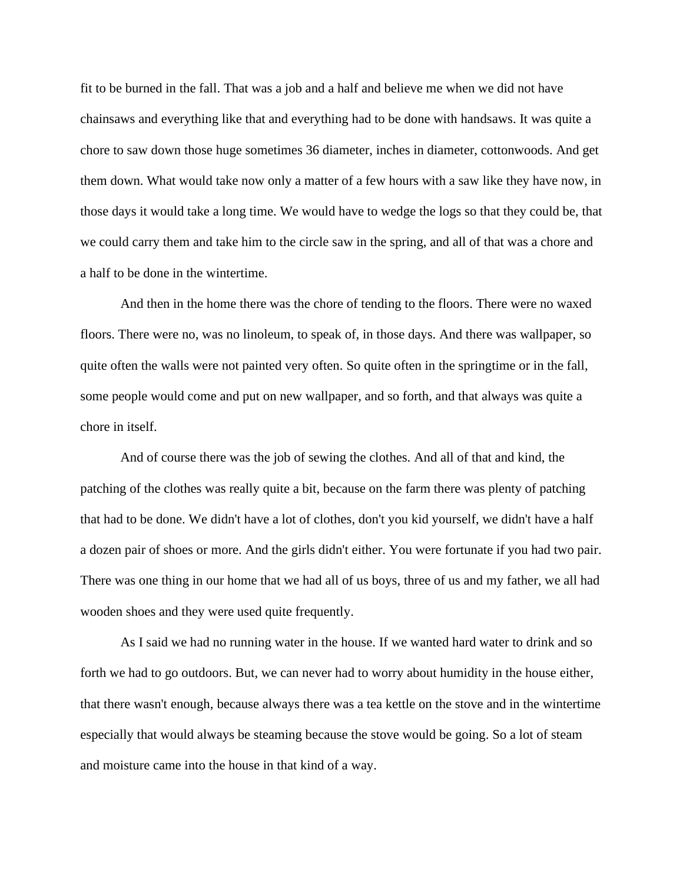fit to be burned in the fall. That was a job and a half and believe me when we did not have chainsaws and everything like that and everything had to be done with handsaws. It was quite a chore to saw down those huge sometimes 36 diameter, inches in diameter, cottonwoods. And get them down. What would take now only a matter of a few hours with a saw like they have now, in those days it would take a long time. We would have to wedge the logs so that they could be, that we could carry them and take him to the circle saw in the spring, and all of that was a chore and a half to be done in the wintertime.

And then in the home there was the chore of tending to the floors. There were no waxed floors. There were no, was no linoleum, to speak of, in those days. And there was wallpaper, so quite often the walls were not painted very often. So quite often in the springtime or in the fall, some people would come and put on new wallpaper, and so forth, and that always was quite a chore in itself.

And of course there was the job of sewing the clothes. And all of that and kind, the patching of the clothes was really quite a bit, because on the farm there was plenty of patching that had to be done. We didn't have a lot of clothes, don't you kid yourself, we didn't have a half a dozen pair of shoes or more. And the girls didn't either. You were fortunate if you had two pair. There was one thing in our home that we had all of us boys, three of us and my father, we all had wooden shoes and they were used quite frequently.

As I said we had no running water in the house. If we wanted hard water to drink and so forth we had to go outdoors. But, we can never had to worry about humidity in the house either, that there wasn't enough, because always there was a tea kettle on the stove and in the wintertime especially that would always be steaming because the stove would be going. So a lot of steam and moisture came into the house in that kind of a way.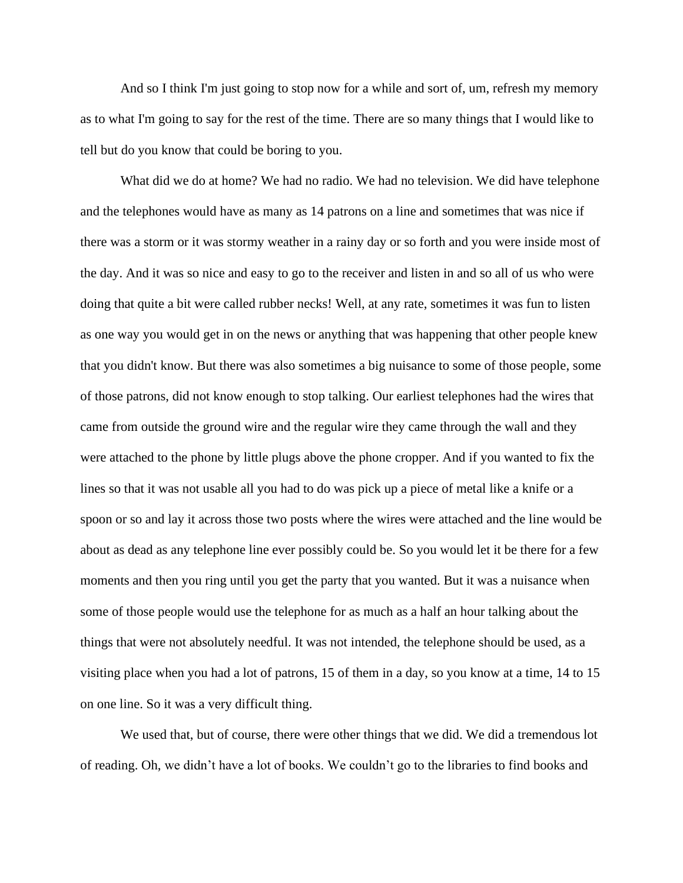And so I think I'm just going to stop now for a while and sort of, um, refresh my memory as to what I'm going to say for the rest of the time. There are so many things that I would like to tell but do you know that could be boring to you.

What did we do at home? We had no radio. We had no television. We did have telephone and the telephones would have as many as 14 patrons on a line and sometimes that was nice if there was a storm or it was stormy weather in a rainy day or so forth and you were inside most of the day. And it was so nice and easy to go to the receiver and listen in and so all of us who were doing that quite a bit were called rubber necks! Well, at any rate, sometimes it was fun to listen as one way you would get in on the news or anything that was happening that other people knew that you didn't know. But there was also sometimes a big nuisance to some of those people, some of those patrons, did not know enough to stop talking. Our earliest telephones had the wires that came from outside the ground wire and the regular wire they came through the wall and they were attached to the phone by little plugs above the phone cropper. And if you wanted to fix the lines so that it was not usable all you had to do was pick up a piece of metal like a knife or a spoon or so and lay it across those two posts where the wires were attached and the line would be about as dead as any telephone line ever possibly could be. So you would let it be there for a few moments and then you ring until you get the party that you wanted. But it was a nuisance when some of those people would use the telephone for as much as a half an hour talking about the things that were not absolutely needful. It was not intended, the telephone should be used, as a visiting place when you had a lot of patrons, 15 of them in a day, so you know at a time, 14 to 15 on one line. So it was a very difficult thing.

We used that, but of course, there were other things that we did. We did a tremendous lot of reading. Oh, we didn't have a lot of books. We couldn't go to the libraries to find books and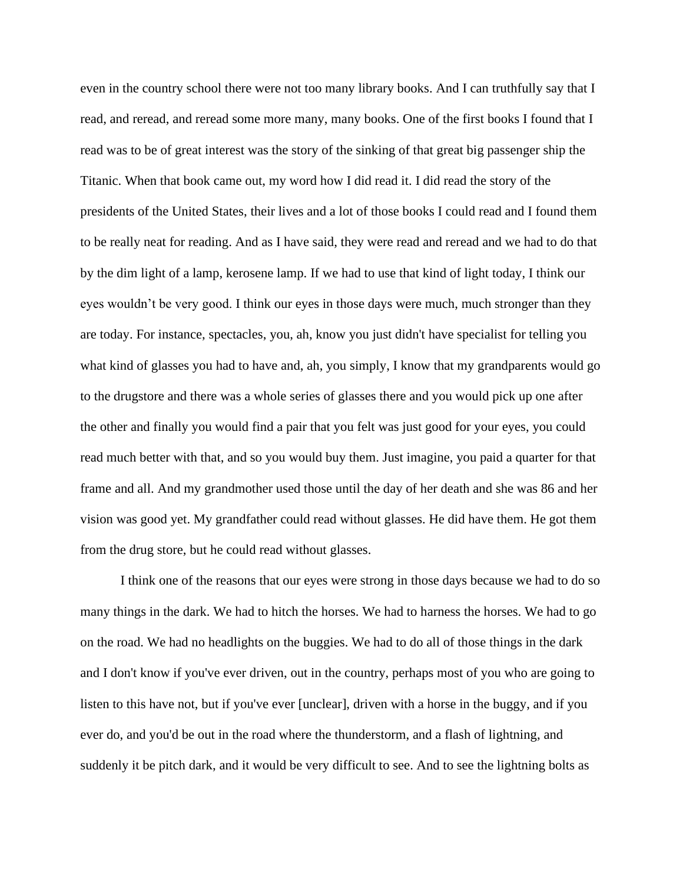even in the country school there were not too many library books. And I can truthfully say that I read, and reread, and reread some more many, many books. One of the first books I found that I read was to be of great interest was the story of the sinking of that great big passenger ship the Titanic. When that book came out, my word how I did read it. I did read the story of the presidents of the United States, their lives and a lot of those books I could read and I found them to be really neat for reading. And as I have said, they were read and reread and we had to do that by the dim light of a lamp, kerosene lamp. If we had to use that kind of light today, I think our eyes wouldn't be very good. I think our eyes in those days were much, much stronger than they are today. For instance, spectacles, you, ah, know you just didn't have specialist for telling you what kind of glasses you had to have and, ah, you simply, I know that my grandparents would go to the drugstore and there was a whole series of glasses there and you would pick up one after the other and finally you would find a pair that you felt was just good for your eyes, you could read much better with that, and so you would buy them. Just imagine, you paid a quarter for that frame and all. And my grandmother used those until the day of her death and she was 86 and her vision was good yet. My grandfather could read without glasses. He did have them. He got them from the drug store, but he could read without glasses.

I think one of the reasons that our eyes were strong in those days because we had to do so many things in the dark. We had to hitch the horses. We had to harness the horses. We had to go on the road. We had no headlights on the buggies. We had to do all of those things in the dark and I don't know if you've ever driven, out in the country, perhaps most of you who are going to listen to this have not, but if you've ever [unclear], driven with a horse in the buggy, and if you ever do, and you'd be out in the road where the thunderstorm, and a flash of lightning, and suddenly it be pitch dark, and it would be very difficult to see. And to see the lightning bolts as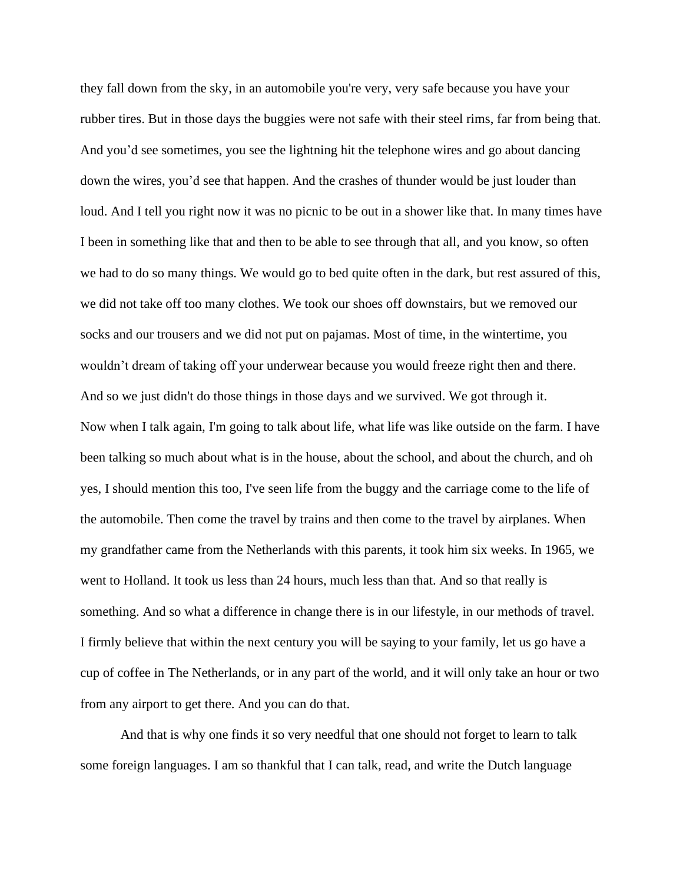they fall down from the sky, in an automobile you're very, very safe because you have your rubber tires. But in those days the buggies were not safe with their steel rims, far from being that. And you'd see sometimes, you see the lightning hit the telephone wires and go about dancing down the wires, you'd see that happen. And the crashes of thunder would be just louder than loud. And I tell you right now it was no picnic to be out in a shower like that. In many times have I been in something like that and then to be able to see through that all, and you know, so often we had to do so many things. We would go to bed quite often in the dark, but rest assured of this, we did not take off too many clothes. We took our shoes off downstairs, but we removed our socks and our trousers and we did not put on pajamas. Most of time, in the wintertime, you wouldn't dream of taking off your underwear because you would freeze right then and there. And so we just didn't do those things in those days and we survived. We got through it. Now when I talk again, I'm going to talk about life, what life was like outside on the farm. I have been talking so much about what is in the house, about the school, and about the church, and oh yes, I should mention this too, I've seen life from the buggy and the carriage come to the life of the automobile. Then come the travel by trains and then come to the travel by airplanes. When my grandfather came from the Netherlands with this parents, it took him six weeks. In 1965, we went to Holland. It took us less than 24 hours, much less than that. And so that really is something. And so what a difference in change there is in our lifestyle, in our methods of travel. I firmly believe that within the next century you will be saying to your family, let us go have a cup of coffee in The Netherlands, or in any part of the world, and it will only take an hour or two from any airport to get there. And you can do that.

And that is why one finds it so very needful that one should not forget to learn to talk some foreign languages. I am so thankful that I can talk, read, and write the Dutch language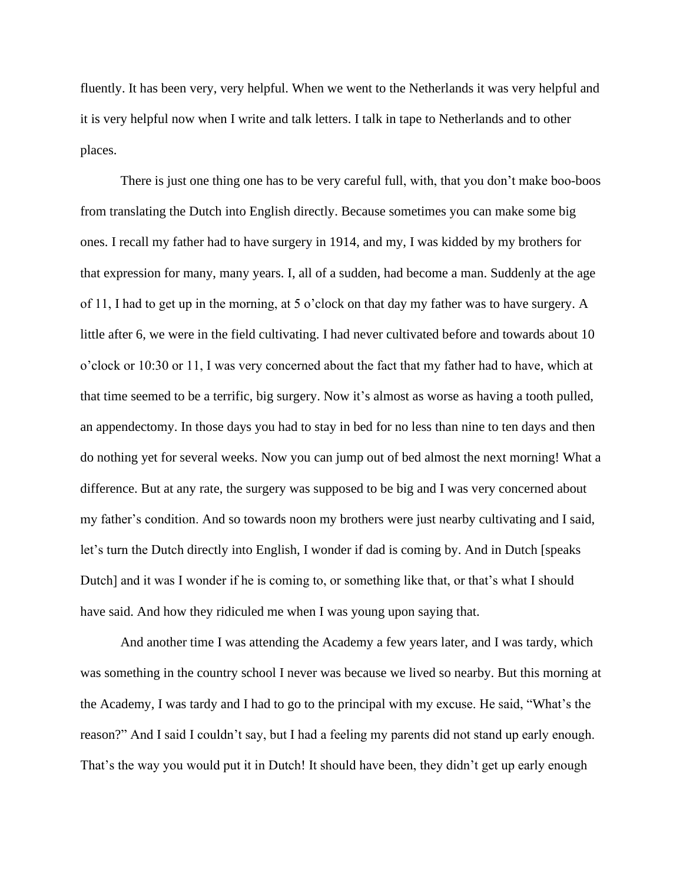fluently. It has been very, very helpful. When we went to the Netherlands it was very helpful and it is very helpful now when I write and talk letters. I talk in tape to Netherlands and to other places.

There is just one thing one has to be very careful full, with, that you don't make boo-boos from translating the Dutch into English directly. Because sometimes you can make some big ones. I recall my father had to have surgery in 1914, and my, I was kidded by my brothers for that expression for many, many years. I, all of a sudden, had become a man. Suddenly at the age of 11, I had to get up in the morning, at 5 o'clock on that day my father was to have surgery. A little after 6, we were in the field cultivating. I had never cultivated before and towards about 10 o'clock or 10:30 or 11, I was very concerned about the fact that my father had to have, which at that time seemed to be a terrific, big surgery. Now it's almost as worse as having a tooth pulled, an appendectomy. In those days you had to stay in bed for no less than nine to ten days and then do nothing yet for several weeks. Now you can jump out of bed almost the next morning! What a difference. But at any rate, the surgery was supposed to be big and I was very concerned about my father's condition. And so towards noon my brothers were just nearby cultivating and I said, let's turn the Dutch directly into English, I wonder if dad is coming by. And in Dutch [speaks Dutch] and it was I wonder if he is coming to, or something like that, or that's what I should have said. And how they ridiculed me when I was young upon saying that.

And another time I was attending the Academy a few years later, and I was tardy, which was something in the country school I never was because we lived so nearby. But this morning at the Academy, I was tardy and I had to go to the principal with my excuse. He said, "What's the reason?" And I said I couldn't say, but I had a feeling my parents did not stand up early enough. That's the way you would put it in Dutch! It should have been, they didn't get up early enough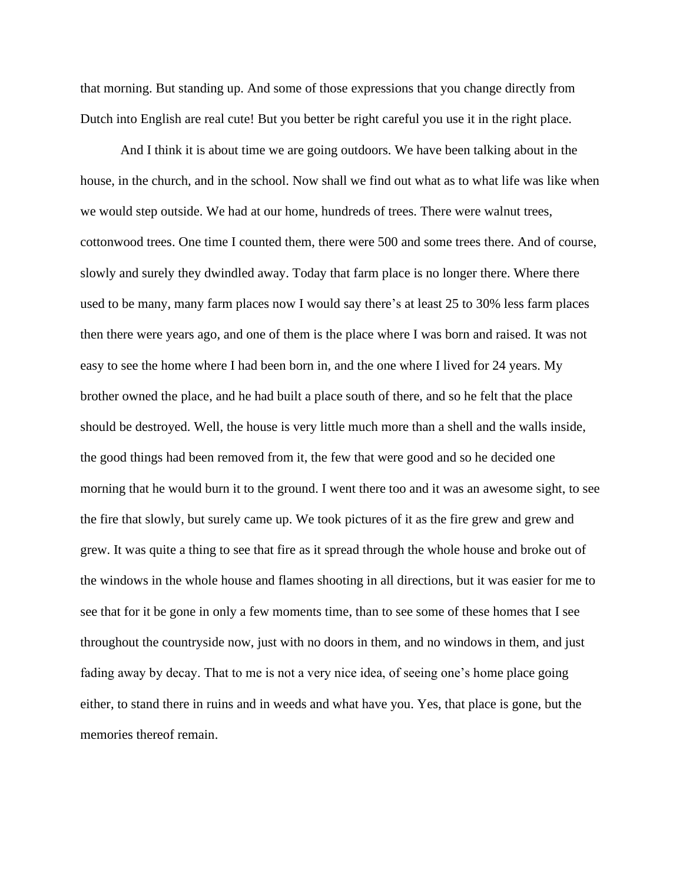that morning. But standing up. And some of those expressions that you change directly from Dutch into English are real cute! But you better be right careful you use it in the right place.

And I think it is about time we are going outdoors. We have been talking about in the house, in the church, and in the school. Now shall we find out what as to what life was like when we would step outside. We had at our home, hundreds of trees. There were walnut trees, cottonwood trees. One time I counted them, there were 500 and some trees there. And of course, slowly and surely they dwindled away. Today that farm place is no longer there. Where there used to be many, many farm places now I would say there's at least 25 to 30% less farm places then there were years ago, and one of them is the place where I was born and raised. It was not easy to see the home where I had been born in, and the one where I lived for 24 years. My brother owned the place, and he had built a place south of there, and so he felt that the place should be destroyed. Well, the house is very little much more than a shell and the walls inside, the good things had been removed from it, the few that were good and so he decided one morning that he would burn it to the ground. I went there too and it was an awesome sight, to see the fire that slowly, but surely came up. We took pictures of it as the fire grew and grew and grew. It was quite a thing to see that fire as it spread through the whole house and broke out of the windows in the whole house and flames shooting in all directions, but it was easier for me to see that for it be gone in only a few moments time, than to see some of these homes that I see throughout the countryside now, just with no doors in them, and no windows in them, and just fading away by decay. That to me is not a very nice idea, of seeing one's home place going either, to stand there in ruins and in weeds and what have you. Yes, that place is gone, but the memories thereof remain.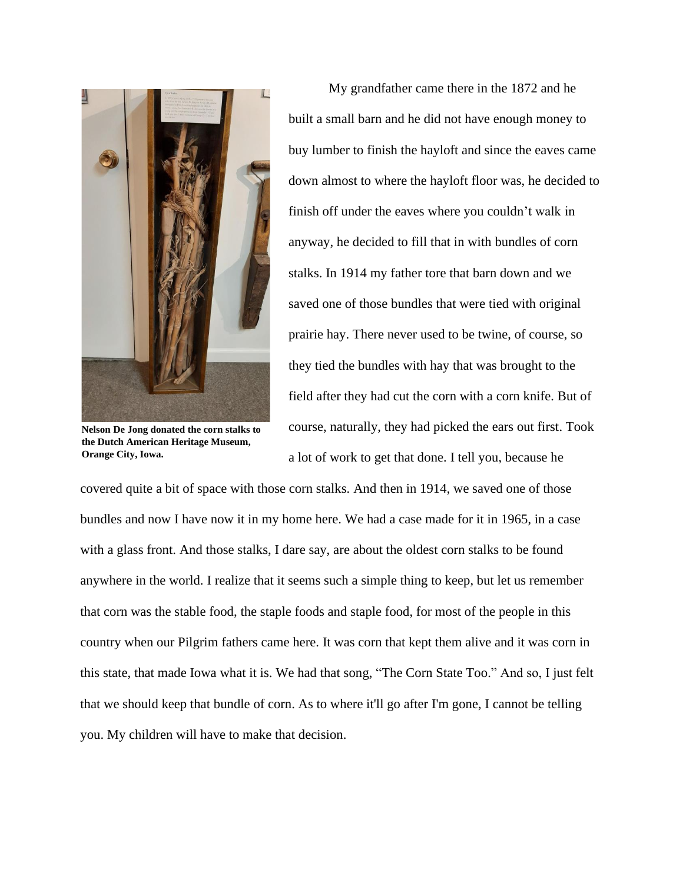

**Nelson De Jong donated the corn stalks to the Dutch American Heritage Museum, Orange City, Iowa.**

My grandfather came there in the 1872 and he built a small barn and he did not have enough money to buy lumber to finish the hayloft and since the eaves came down almost to where the hayloft floor was, he decided to finish off under the eaves where you couldn't walk in anyway, he decided to fill that in with bundles of corn stalks. In 1914 my father tore that barn down and we saved one of those bundles that were tied with original prairie hay. There never used to be twine, of course, so they tied the bundles with hay that was brought to the field after they had cut the corn with a corn knife. But of course, naturally, they had picked the ears out first. Took a lot of work to get that done. I tell you, because he

covered quite a bit of space with those corn stalks. And then in 1914, we saved one of those bundles and now I have now it in my home here. We had a case made for it in 1965, in a case with a glass front. And those stalks, I dare say, are about the oldest corn stalks to be found anywhere in the world. I realize that it seems such a simple thing to keep, but let us remember that corn was the stable food, the staple foods and staple food, for most of the people in this country when our Pilgrim fathers came here. It was corn that kept them alive and it was corn in this state, that made Iowa what it is. We had that song, "The Corn State Too." And so, I just felt that we should keep that bundle of corn. As to where it'll go after I'm gone, I cannot be telling you. My children will have to make that decision.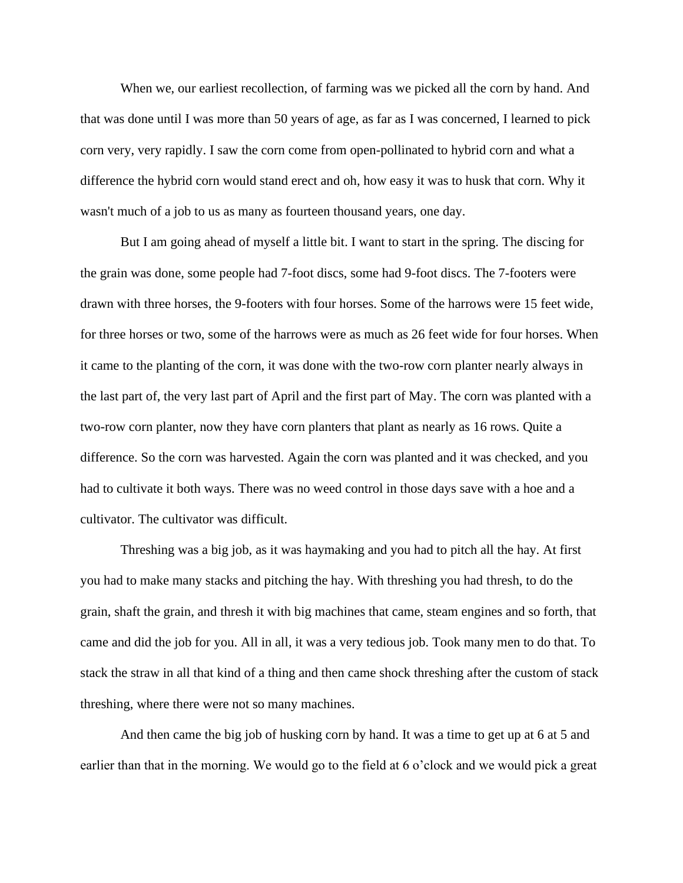When we, our earliest recollection, of farming was we picked all the corn by hand. And that was done until I was more than 50 years of age, as far as I was concerned, I learned to pick corn very, very rapidly. I saw the corn come from open-pollinated to hybrid corn and what a difference the hybrid corn would stand erect and oh, how easy it was to husk that corn. Why it wasn't much of a job to us as many as fourteen thousand years, one day.

But I am going ahead of myself a little bit. I want to start in the spring. The discing for the grain was done, some people had 7-foot discs, some had 9-foot discs. The 7-footers were drawn with three horses, the 9-footers with four horses. Some of the harrows were 15 feet wide, for three horses or two, some of the harrows were as much as 26 feet wide for four horses. When it came to the planting of the corn, it was done with the two-row corn planter nearly always in the last part of, the very last part of April and the first part of May. The corn was planted with a two-row corn planter, now they have corn planters that plant as nearly as 16 rows. Quite a difference. So the corn was harvested. Again the corn was planted and it was checked, and you had to cultivate it both ways. There was no weed control in those days save with a hoe and a cultivator. The cultivator was difficult.

Threshing was a big job, as it was haymaking and you had to pitch all the hay. At first you had to make many stacks and pitching the hay. With threshing you had thresh, to do the grain, shaft the grain, and thresh it with big machines that came, steam engines and so forth, that came and did the job for you. All in all, it was a very tedious job. Took many men to do that. To stack the straw in all that kind of a thing and then came shock threshing after the custom of stack threshing, where there were not so many machines.

And then came the big job of husking corn by hand. It was a time to get up at 6 at 5 and earlier than that in the morning. We would go to the field at 6 o'clock and we would pick a great